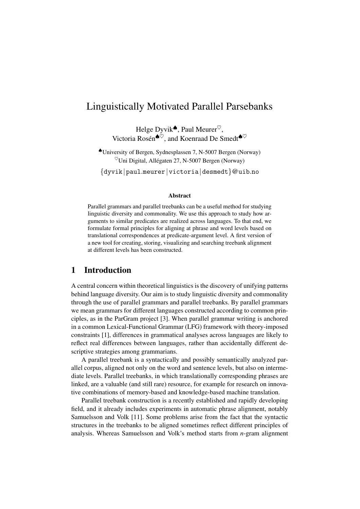# Linguistically Motivated Parallel Parsebanks

Helge Dyvik♦, Paul Meurer $\heartsuit$ , Victoria Rosén<br/>♦ $\check{\heartsuit}$ , and Koenraad De Smedt<br/>♦ $\heartsuit$ 

♠University of Bergen, Sydnesplassen 7, N-5007 Bergen (Norway)  $\%$ Uni Digital, Allégaten 27, N-5007 Bergen (Norway)

{dyvik|paul.meurer|victoria|desmedt}@uib.no

#### Abstract

Parallel grammars and parallel treebanks can be a useful method for studying linguistic diversity and commonality. We use this approach to study how arguments to similar predicates are realized across languages. To that end, we formulate formal principles for aligning at phrase and word levels based on translational correspondences at predicate-argument level. A first version of a new tool for creating, storing, visualizing and searching treebank alignment at different levels has been constructed.

# 1 Introduction

A central concern within theoretical linguistics is the discovery of unifying patterns behind language diversity. Our aim is to study linguistic diversity and commonality through the use of parallel grammars and parallel treebanks. By parallel grammars we mean grammars for different languages constructed according to common principles, as in the ParGram project [3]. When parallel grammar writing is anchored in a common Lexical-Functional Grammar (LFG) framework with theory-imposed constraints [1], differences in grammatical analyses across languages are likely to reflect real differences between languages, rather than accidentally different descriptive strategies among grammarians.

A parallel treebank is a syntactically and possibly semantically analyzed parallel corpus, aligned not only on the word and sentence levels, but also on intermediate levels. Parallel treebanks, in which translationally corresponding phrases are linked, are a valuable (and still rare) resource, for example for research on innovative combinations of memory-based and knowledge-based machine translation.

Parallel treebank construction is a recently established and rapidly developing field, and it already includes experiments in automatic phrase alignment, notably Samuelsson and Volk [11]. Some problems arise from the fact that the syntactic structures in the treebanks to be aligned sometimes reflect different principles of analysis. Whereas Samuelsson and Volk's method starts from *n*-gram alignment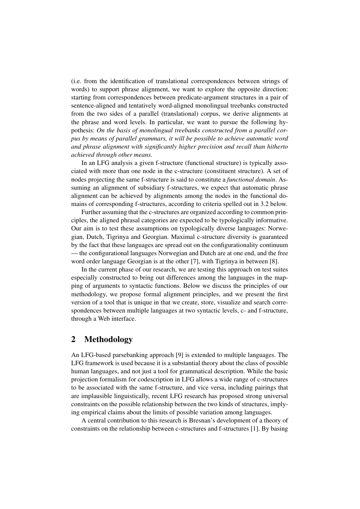(i.e. from the identification of translational correspondences between strings of words) to support phrase alignment, we want to explore the opposite direction: starting from correspondences between predicate-argument structures in a pair of sentence-aligned and tentatively word-aligned monolingual treebanks constructed from the two sides of a parallel (translational) corpus, we derive alignments at the phrase and word levels. In particular, we want to pursue the following hypothesis: *On the basis of monolingual treebanks constructed from a parallel corpus by means of parallel grammars, it will be possible to achieve automatic word and phrase alignment with significantly higher precision and recall than hitherto achieved through other means.*

In an LFG analysis a given f-structure (functional structure) is typically associated with more than one node in the c-structure (constituent structure). A set of nodes projecting the same f-structure is said to constitute a *functional domain*. Assuming an alignment of subsidiary f-structures, we expect that automatic phrase alignment can be achieved by alignments among the nodes in the functional domains of corresponding f-structures, according to criteria spelled out in 3.2 below.

Further assuming that the c-structures are organized according to common principles, the aligned phrasal categories are expected to be typologically informative. Our aim is to test these assumptions on typologically diverse languages: Norwegian, Dutch, Tigrinya and Georgian. Maximal c-structure diversity is guaranteed by the fact that these languages are spread out on the configurationality continuum — the configurational languages Norwegian and Dutch are at one end, and the free word order language Georgian is at the other [7], with Tigrinya in between [8].

In the current phase of our research, we are testing this approach on test suites especially constructed to bring out differences among the languages in the mapping of arguments to syntactic functions. Below we discuss the principles of our methodology, we propose formal alignment principles, and we present the first version of a tool that is unique in that we create, store, visualize and search correspondences between multiple languages at two syntactic levels, c- and f-structure, through a Web interface.

# 2 Methodology

An LFG-based parsebanking approach [9] is extended to multiple languages. The LFG framework is used because it is a substantial theory about the class of possible human languages, and not just a tool for grammatical description. While the basic projection formalism for codescription in LFG allows a wide range of c-structures to be associated with the same f-structure, and vice versa, including pairings that are implausible linguistically, recent LFG research has proposed strong universal constraints on the possible relationship between the two kinds of structures, implying empirical claims about the limits of possible variation among languages.

A central contribution to this research is Bresnan's development of a theory of constraints on the relationship between c-structures and f-structures [1]. By basing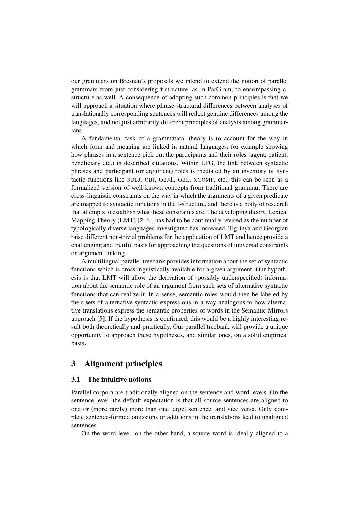our grammars on Bresnan's proposals we intend to extend the notion of parallel grammars from just considering f-structure, as in ParGram, to encompassing cstructure as well. A consequence of adopting such common principles is that we will approach a situation where phrase-structural differences between analyses of translationally corresponding sentences will reflect genuine differences among the languages, and not just arbitrarily different principles of analysis among grammarians.

A fundamental task of a grammatical theory is to account for the way in which form and meaning are linked in natural languages, for example showing how phrases in a sentence pick out the participants and their roles (agent, patient, beneficiary etc.) in described situations. Within LFG, the link between syntactic phrases and participant (or argument) roles is mediated by an inventory of syntactic functions like SUBJ, OBJ, OBJth, OBL, XCOMP, etc.; this can be seen as a formalized version of well-known concepts from traditional grammar. There are cross-linguistic constraints on the way in which the arguments of a given predicate are mapped to syntactic functions in the f-structure, and there is a body of research that attempts to establish what these constraints are. The developing theory, Lexical Mapping Theory (LMT) [2, 6], has had to be continually revised as the number of typologically diverse languages investigated has increased. Tigrinya and Georgian raise different non-trivial problems for the application of LMT and hence provide a challenging and fruitful basis for approaching the questions of universal constraints on argument linking.

A multilingual parallel treebank provides information about the set of syntactic functions which is crosslinguistically available for a given argument. Our hypothesis is that LMT will allow the derivation of (possibly underspecified) information about the semantic role of an argument from such sets of alternative syntactic functions that can realize it. In a sense, semantic roles would then be labeled by their sets of alternative syntactic expressions in a way analogous to how alternative translations express the semantic properties of words in the Semantic Mirrors approach [5]. If the hypothesis is confirmed, this would be a highly interesting result both theoretically and practically. Our parallel treebank will provide a unique opportunity to approach these hypotheses, and similar ones, on a solid empirical basis.

### 3 Alignment principles

### 3.1 The intuitive notions

Parallel corpora are traditionally aligned on the sentence and word levels. On the sentence level, the default expectation is that all source sentences are aligned to one or (more rarely) more than one target sentence, and vice versa. Only complete sentence-formed omissions or additions in the translations lead to unaligned sentences.

On the word level, on the other hand, a source word is ideally aligned to a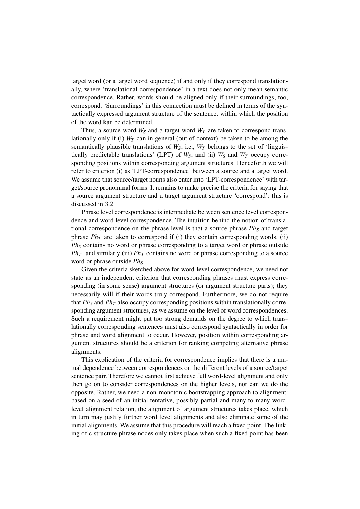target word (or a target word sequence) if and only if they correspond translationally, where 'translational correspondence' in a text does not only mean semantic correspondence. Rather, words should be aligned only if their surroundings, too, correspond. 'Surroundings' in this connection must be defined in terms of the syntactically expressed argument structure of the sentence, within which the position of the word kan be determined.

Thus, a source word  $W<sub>S</sub>$  and a target word  $W<sub>T</sub>$  are taken to correspond translationally only if (i)  $W_T$  can in general (out of context) be taken to be among the semantically plausible translations of  $W<sub>S</sub>$ , i.e.,  $W<sub>T</sub>$  belongs to the set of 'linguistically predictable translations' (LPT) of  $W_S$ , and (ii)  $W_S$  and  $W_T$  occupy corresponding positions within corresponding argument structures. Henceforth we will refer to criterion (i) as 'LPT-correspondence' between a source and a target word. We assume that source/target nouns also enter into 'LPT-correspondence' with target/source pronominal forms. It remains to make precise the criteria for saying that a source argument structure and a target argument structure 'correspond'; this is discussed in 3.2.

Phrase level correspondence is intermediate between sentence level correspondence and word level correspondence. The intuition behind the notion of translational correspondence on the phrase level is that a source phrase  $Ph<sub>S</sub>$  and target phrase  $Ph<sub>T</sub>$  are taken to correspond if (i) they contain corresponding words, (ii) *Ph<sup>S</sup>* contains no word or phrase corresponding to a target word or phrase outside  $Ph<sub>T</sub>$ , and similarly (iii)  $Ph<sub>T</sub>$  contains no word or phrase corresponding to a source word or phrase outside *PhS*.

Given the criteria sketched above for word-level correspondence, we need not state as an independent criterion that corresponding phrases must express corresponding (in some sense) argument structures (or argument structure parts); they necessarily will if their words truly correspond. Furthermore, we do not require that *Ph<sup>S</sup>* and *Ph<sup>T</sup>* also occupy corresponding positions within translationally corresponding argument structures, as we assume on the level of word correspondences. Such a requirement might put too strong demands on the degree to which translationally corresponding sentences must also correspond syntactically in order for phrase and word alignment to occur. However, position within corresponding argument structures should be a criterion for ranking competing alternative phrase alignments.

This explication of the criteria for correspondence implies that there is a mutual dependence between correspondences on the different levels of a source/target sentence pair. Therefore we cannot first achieve full word-level alignment and only then go on to consider correspondences on the higher levels, nor can we do the opposite. Rather, we need a non-monotonic bootstrapping approach to alignment: based on a seed of an initial tentative, possibly partial and many-to-many wordlevel alignment relation, the alignment of argument structures takes place, which in turn may justify further word level alignments and also eliminate some of the initial alignments. We assume that this procedure will reach a fixed point. The linking of c-structure phrase nodes only takes place when such a fixed point has been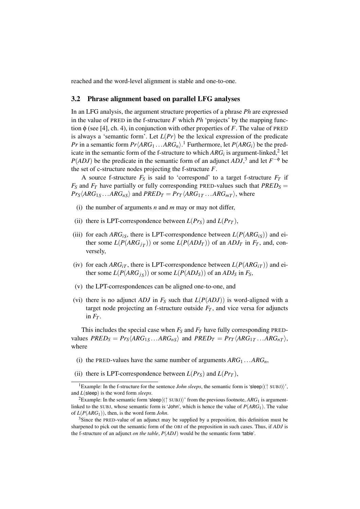reached and the word-level alignment is stable and one-to-one.

#### 3.2 Phrase alignment based on parallel LFG analyses

In an LFG analysis, the argument structure properties of a phrase *Ph* are expressed in the value of PRED in the f-structure *F* which *Ph* 'projects' by the mapping function φ (see [4], ch. 4), in conjunction with other properties of *F*. The value of PRED is always a 'semantic form'. Let  $L(Pr)$  be the lexical expression of the predicate *Pr* in a semantic form  $Pr\langle ARG_1 ... ARG_n \rangle$ .<sup>1</sup> Furthermore, let  $P(ARG_i)$  be the predicate in the semantic form of the f-structure to which  $ARG_i$  is argument-linked,<sup>2</sup> let *P*(*ADJ*) be the predicate in the semantic form of an adjunct *ADJ*,<sup>3</sup> and let  $F^{-\phi}$  be the set of c-structure nodes projecting the f-structure *F*.

A source f-structure  $F_S$  is said to 'correspond' to a target f-structure  $F_T$  if  $F_S$  and  $F_T$  have partially or fully corresponding PRED-values such that  $PRED_S =$  $Pr_S \langle ARG_{1S} \dots ARG_{nS} \rangle$  and  $PRED_T = Pr_T \langle ARG_{1T} \dots ARG_{mT} \rangle$ , where

- (i) the number of arguments *n* and *m* may or may not differ,
- (ii) there is LPT-correspondence between  $L(Pr_S)$  and  $L(Pr_T)$ ,
- (iii) for each  $ARG_{iS}$ , there is LPT-correspondence between  $L(P(ARG_{iS}))$  and either some  $L(P(ARG<sub>jT</sub>))$  or some  $L(P(ADJ<sub>T</sub>))$  of an  $ADJ<sub>T</sub>$  in  $F<sub>T</sub>$ , and, conversely,
- (iv) for each  $ARG_{iT}$ , there is LPT-correspondence between  $L(P(ARG_{iT}))$  and either some  $L(P(ARG<sub>js</sub>))$  or some  $L(P(ADJ<sub>S</sub>))$  of an  $ADJ<sub>S</sub>$  in  $F<sub>S</sub>$ ,
- (v) the LPT-correspondences can be aligned one-to-one, and
- (vi) there is no adjunct *ADJ* in  $F<sub>S</sub>$  such that  $L(P(ADJ))$  is word-aligned with a target node projecting an f-structure outside  $F_T$ , and vice versa for adjuncts in  $F_T$ .

This includes the special case when  $F_S$  and  $F_T$  have fully corresponding PREDvalues  $PRED_S = Pr_S \langle ARG_{1S} \dots ARG_{nS} \rangle$  and  $PRED_T = Pr_T \langle ARG_{1T} \dots ARG_{nT} \rangle$ , where

- (i) the PRED-values have the same number of arguments  $ARG_1 \dots ARG_n$ ,
- (ii) there is LPT-correspondence between  $L(Pr_S)$  and  $L(Pr_T)$ ,

<sup>&</sup>lt;sup>1</sup>Example: In the f-structure for the sentence *John sleeps*, the semantic form is 'sleep $\langle$ († SUBJ) $\rangle$ ', and *L*(sleep) is the word form *sleeps*.

<sup>&</sup>lt;sup>2</sup>Example: In the semantic form 'sleep $\langle$ ( $\uparrow$  SUBJ) $\rangle$ ' from the previous footnote, *ARG*<sub>1</sub> is argumentlinked to the SUBJ, whose semantic form is 'John', which is hence the value of *P*(*ARG*1). The value of *L*(*P*(*ARG*1)), then, is the word form *John*.

<sup>&</sup>lt;sup>3</sup>Since the PRED-value of an adjunct may be supplied by a preposition, this definition must be sharpened to pick out the semantic form of the OBJ of the preposition in such cases. Thus, if *ADJ* is the f-structure of an adjunct *on the table*, *P*(*ADJ*) would be the semantic form 'table'.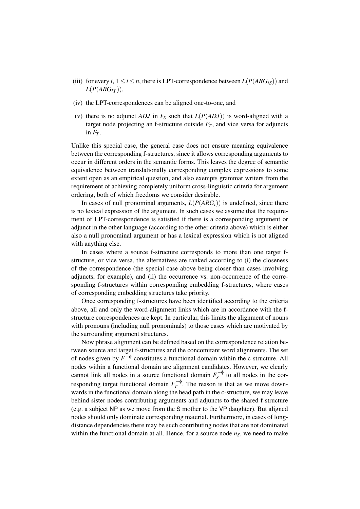- (iii) for every *i*,  $1 \le i \le n$ , there is LPT-correspondence between  $L(P(ARG_{iS}))$  and  $L(P(ARG<sub>iT</sub>)),$
- (iv) the LPT-correspondences can be aligned one-to-one, and
- (v) there is no adjunct *ADJ* in  $F<sub>S</sub>$  such that  $L(P(ADJ))$  is word-aligned with a target node projecting an f-structure outside  $F_T$ , and vice versa for adjuncts in  $F_T$ .

Unlike this special case, the general case does not ensure meaning equivalence between the corresponding f-structures, since it allows corresponding arguments to occur in different orders in the semantic forms. This leaves the degree of semantic equivalence between translationally corresponding complex expressions to some extent open as an empirical question, and also exempts grammar writers from the requirement of achieving completely uniform cross-linguistic criteria for argument ordering, both of which freedoms we consider desirable.

In cases of null pronominal arguments,  $L(P(ARG<sub>i</sub>))$  is undefined, since there is no lexical expression of the argument. In such cases we assume that the requirement of LPT-correspondence is satisfied if there is a corresponding argument or adjunct in the other language (according to the other criteria above) which is either also a null pronominal argument or has a lexical expression which is not aligned with anything else.

In cases where a source f-structure corresponds to more than one target fstructure, or vice versa, the alternatives are ranked according to (i) the closeness of the correspondence (the special case above being closer than cases involving adjuncts, for example), and (ii) the occurrence vs. non-occurrence of the corresponding f-structures within corresponding embedding f-structures, where cases of corresponding embedding structures take priority.

Once corresponding f-structures have been identified according to the criteria above, all and only the word-alignment links which are in accordance with the fstructure correspondences are kept. In particular, this limits the alignment of nouns with pronouns (including null pronominals) to those cases which are motivated by the surrounding argument structures.

Now phrase alignment can be defined based on the correspondence relation between source and target f-structures and the concomitant word alignments. The set of nodes given by  $F^{-\phi}$  constitutes a functional domain within the c-structure. All nodes within a functional domain are alignment candidates. However, we clearly cannot link all nodes in a source functional domain  $F_s^{-\phi}$  $\overline{S}^{\text{op}}$  to all nodes in the corresponding target functional domain  $F_T^{-\phi}$  $T_T^{-\varphi}$ . The reason is that as we move downwards in the functional domain along the head path in the c-structure, we may leave behind sister nodes contributing arguments and adjuncts to the shared f-structure (e.g. a subject NP as we move from the S mother to the VP daughter). But aligned nodes should only dominate corresponding material. Furthermore, in cases of longdistance dependencies there may be such contributing nodes that are not dominated within the functional domain at all. Hence, for a source node  $n<sub>S</sub>$ , we need to make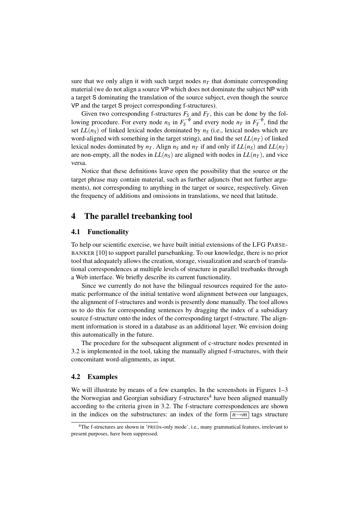sure that we only align it with such target nodes  $n<sub>T</sub>$  that dominate corresponding material (we do not align a source VP which does not dominate the subject NP with a target S dominating the translation of the source subject, even though the source VP and the target S project corresponding f-structures).

Given two corresponding f-structures  $F_S$  and  $F_T$ , this can be done by the following procedure. For every node  $n_S$  in  $F_S^{-\phi}$  $S_S^{-\phi}$  and every node  $n_T$  in  $F_T^{-\phi}$  $T_T^{-\varphi}$ , find the set  $LL(n<sub>S</sub>)$  of linked lexical nodes dominated by  $n<sub>S</sub>$  (i.e., lexical nodes which are word-aligned with something in the target string), and find the set  $LL(n_T)$  of linked lexical nodes dominated by  $n<sub>T</sub>$ . Align  $n<sub>S</sub>$  and  $n<sub>T</sub>$  if and only if  $LL(n<sub>S</sub>)$  and  $LL(n<sub>T</sub>)$ are non-empty, all the nodes in  $LL(n<sub>S</sub>)$  are aligned with nodes in  $LL(n<sub>T</sub>)$ , and vice versa.

Notice that these definitions leave open the possibility that the source or the target phrase may contain material, such as further adjuncts (but not further arguments), not corresponding to anything in the target or source, respectively. Given the frequency of additions and omissions in translations, we need that latitude.

# 4 The parallel treebanking tool

#### 4.1 Functionality

To help our scientific exercise, we have built initial extensions of the LFG PARSE-BANKER [10] to support parallel parsebanking. To our knowledge, there is no prior tool that adequately allows the creation, storage, visualization and search of translational correspondences at multiple levels of structure in parallel treebanks through a Web interface. We briefly describe its current functionality.

Since we currently do not have the bilingual resources required for the automatic performance of the initial tentative word alignment between our languages, the alignment of f-structures and words is presently done manually. The tool allows us to do this for corresponding sentences by dragging the index of a subsidiary source f-structure onto the index of the corresponding target f-structure. The alignment information is stored in a database as an additional layer. We envision doing this automatically in the future.

The procedure for the subsequent alignment of c-structure nodes presented in 3.2 is implemented in the tool, taking the manually aligned f-structures, with their concomitant word-alignments, as input.

#### 4.2 Examples

We will illustrate by means of a few examples. In the screenshots in Figures 1–3 the Norwegian and Georgian subsidiary f-structures<sup>4</sup> have been aligned manually according to the criteria given in 3.2. The f-structure correspondences are shown in the indices on the substructures: an index of the form  $\boxed{n \rightarrow m}$  tags structure

<sup>&</sup>lt;sup>4</sup>The f-structures are shown in 'PREDs-only mode', i.e., many grammatical features, irrelevant to present purposes, have been suppressed.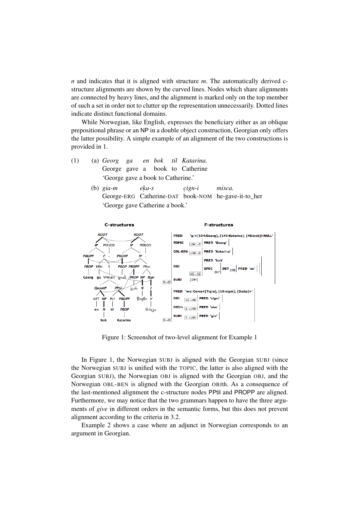*n* and indicates that it is aligned with structure *m*. The automatically derived cstructure alignments are shown by the curved lines. Nodes which share alignments are connected by heavy lines, and the alignment is marked only on the top member of such a set in order not to clutter up the representation unnecessarily. Dotted lines indicate distinct functional domains.

While Norwegian, like English, expresses the beneficiary either as an oblique prepositional phrase or an NP in a double object construction, Georgian only offers the latter possibility. A simple example of an alignment of the two constructions is provided in 1.

- (1) (a) *Georg* George gave a *ga en bok* book to Catherine *til Katarina.* 'George gave a book to Catherine.'
	- (b) *gia-m* George-ERG Catherine-DAT book-NOM he-gave-it-to\_her *ek. a-s c. ign-i misca.* 'George gave Catherine a book.'



Figure 1: Screenshot of two-level alignment for Example 1

In Figure 1, the Norwegian SUBJ is aligned with the Georgian SUBJ (since the Norwegian SUBJ is unified with the TOPIC, the latter is also aligned with the Georgian SUBJ), the Norwegian OBJ is aligned with the Georgian OBJ, and the Norwegian OBL-BEN is aligned with the Georgian OBJth. As a consequence of the last-mentioned alignment the c-structure nodes PPtil and PROPP are aligned. Furthermore, we may notice that the two grammars happen to have the three arguments of *give* in different orders in the semantic forms, but this does not prevent alignment according to the criteria in 3.2.

Example 2 shows a case where an adjunct in Norwegian corresponds to an argument in Georgian.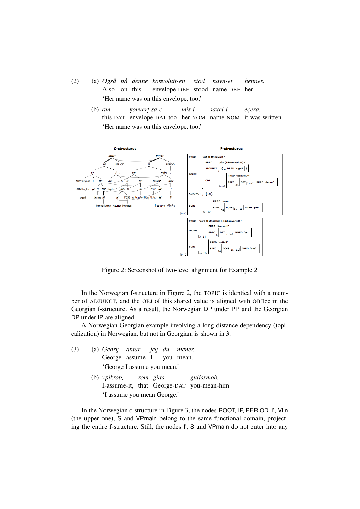- (2) (a) *Også på denne konvolutt-en* Also on this envelope-DEF stood name-DEF her *stod navn-et hennes.* 'Her name was on this envelope, too.'
	- (b) *am* this-DAT envelope-DAT-too her-NOM name-NOM it-was-written. *k. onvert . -sa-c mis-i saxel-i ec. era.* 'Her name was on this envelope, too.'



Figure 2: Screenshot of two-level alignment for Example 2

In the Norwegian f-structure in Figure 2, the TOPIC is identical with a member of ADJUNCT, and the OBJ of this shared value is aligned with OBJloc in the Georgian f-structure. As a result, the Norwegian DP under PP and the Georgian DP under IP are aligned.

A Norwegian-Georgian example involving a long-distance dependency (topicalization) in Norwegian, but not in Georgian, is shown in 3.

| (3) | (a) Georg antar jeg du mener. |  |  |  |  |                                           |
|-----|-------------------------------|--|--|--|--|-------------------------------------------|
|     | George assume I you mean.     |  |  |  |  |                                           |
|     | 'George I assume you mean.'   |  |  |  |  |                                           |
|     |                               |  |  |  |  | (b) vpikrob, rom gias gulisxmob.          |
|     |                               |  |  |  |  | I-assume-it, that George-DAT you-mean-him |

'I assume you mean George.'

In the Norwegian c-structure in Figure 3, the nodes ROOT, IP, PERIOD, I', Vfin (the upper one), S and VPmain belong to the same functional domain, projecting the entire f-structure. Still, the nodes I', S and VPmain do not enter into any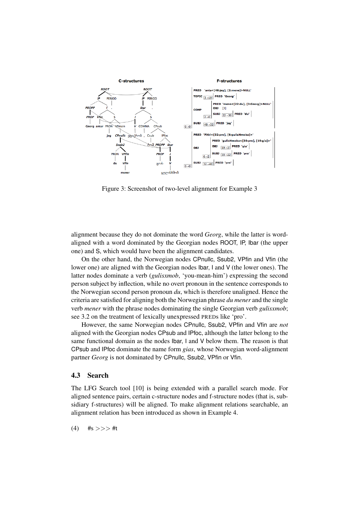

Figure 3: Screenshot of two-level alignment for Example 3

alignment because they do not dominate the word *Georg*, while the latter is wordaligned with a word dominated by the Georgian nodes ROOT, IP, Ibar (the upper one) and S, which would have been the alignment candidates.

On the other hand, the Norwegian nodes CPnullc, Ssub2, VPfin and Vfin (the lower one) are aligned with the Georgian nodes Ibar, I and V (the lower ones). The latter nodes dominate a verb (*gulisxmob*, 'you-mean-him') expressing the second person subject by inflection, while no overt pronoun in the sentence corresponds to the Norwegian second person pronoun *du*, which is therefore unaligned. Hence the criteria are satisfied for aligning both the Norwegian phrase *du mener* and the single verb *mener* with the phrase nodes dominating the single Georgian verb *gulisxmob*; see 3.2 on the treatment of lexically unexpressed PREDs like 'pro'.

However, the same Norwegian nodes CPnullc, Ssub2, VPfin and Vfin are *not* aligned with the Georgian nodes CPsub and IPfoc, although the latter belong to the same functional domain as the nodes Ibar, I and V below them. The reason is that CPsub and IPfoc dominate the name form *gias*, whose Norwegian word-alignment partner *Georg* is not dominated by CPnullc, Ssub2, VPfin or Vfin.

### 4.3 Search

The LFG Search tool [10] is being extended with a parallel search mode. For aligned sentence pairs, certain c-structure nodes and f-structure nodes (that is, subsidiary f-structures) will be aligned. To make alignment relations searchable, an alignment relation has been introduced as shown in Example 4.

 $(4)$  #s >>> #t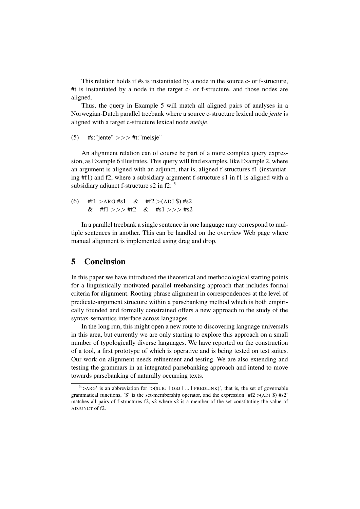This relation holds if #s is instantiated by a node in the source c- or f-structure, #t is instantiated by a node in the target c- or f-structure, and those nodes are aligned.

Thus, the query in Example 5 will match all aligned pairs of analyses in a Norwegian-Dutch parallel treebank where a source c-structure lexical node *jente* is aligned with a target c-structure lexical node *meisje*.

(5)  $\#$ s:"jente" >>>  $\#$ t:"meisje"

An alignment relation can of course be part of a more complex query expression, as Example 6 illustrates. This query will find examples, like Example 2, where an argument is aligned with an adjunct, that is, aligned f-structures f1 (instantiating #f1) and f2, where a subsidiary argument f-structure s1 in f1 is aligned with a subsidiary adjunct f-structure s2 in  $f2:$ <sup>5</sup>

(6) 
$$
\#f1 > ARG #s1
$$
 &  $\#f2 > (ADJ \$) #s2$   
&  $\#f1 >> > ff2$  &  $\#s1 >> > *s2$ 

In a parallel treebank a single sentence in one language may correspond to multiple sentences in another. This can be handled on the overview Web page where manual alignment is implemented using drag and drop.

# 5 Conclusion

In this paper we have introduced the theoretical and methodological starting points for a linguistically motivated parallel treebanking approach that includes formal criteria for alignment. Rooting phrase alignment in correspondences at the level of predicate-argument structure within a parsebanking method which is both empirically founded and formally constrained offers a new approach to the study of the syntax-semantics interface across languages.

In the long run, this might open a new route to discovering language universals in this area, but currently we are only starting to explore this approach on a small number of typologically diverse languages. We have reported on the construction of a tool, a first prototype of which is operative and is being tested on test suites. Our work on alignment needs refinement and testing. We are also extending and testing the grammars in an integrated parsebanking approach and intend to move towards parsebanking of naturally occurring texts.

 $5$ <sup>5</sup> $\rightarrow$ ARG' is an abbreviation for  $\rightarrow$ (SUBJ | OBJ | ... | PREDLINK)', that is, the set of governable grammatical functions, '\$' is the set-membership operator, and the expression '#f2  $>(ADJ \$ \$) #s2' matches all pairs of f-structures f2, s2 where s2 is a member of the set constituting the value of ADJUNCT of f2.